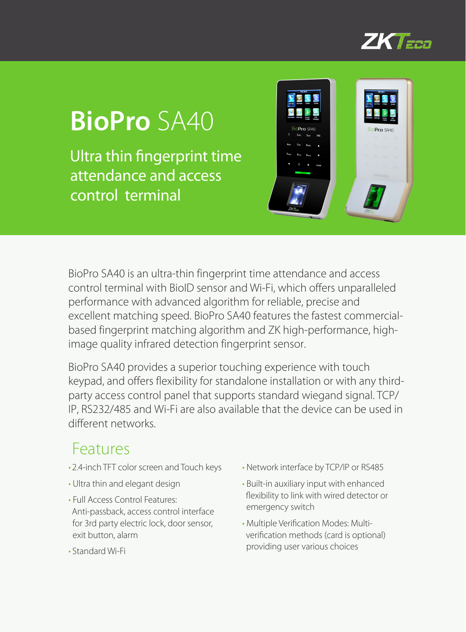

# **BioPro** SA40

Ultra thin fingerprint time attendance and access control terminal



BioPro SA40 is an ultra-thin fingerprint time attendance and access control terminal with BioID sensor and Wi-Fi, which offers unparalleled performance with advanced algorithm for reliable, precise and excellent matching speed. BioPro SA40 features the fastest commercialbased fingerprint matching algorithm and ZK high-performance, highimage quality infrared detection fingerprint sensor.

BioPro SA40 provides a superior touching experience with touch keypad, and offers flexibility for standalone installation or with any thirdparty access control panel that supports standard wiegand signal. TCP/ IP, RS232/485 and Wi-Fi are also available that the device can be used in different networks.

#### Features

- 2.4-inch TFT color screen and Touch keys
- Ultra thin and elegant design
- Full Access Control Features: Anti-passback, access control interface for 3rd party electric lock, door sensor, exit button, alarm
- Standard Wi-Fi
- Network interface by TCP/IP or RS485
- Built-in auxiliary input with enhanced flexibility to link with wired detector or emergency switch
- Multiple Verification Modes: Multiverification methods (card is optional) providing user various choices